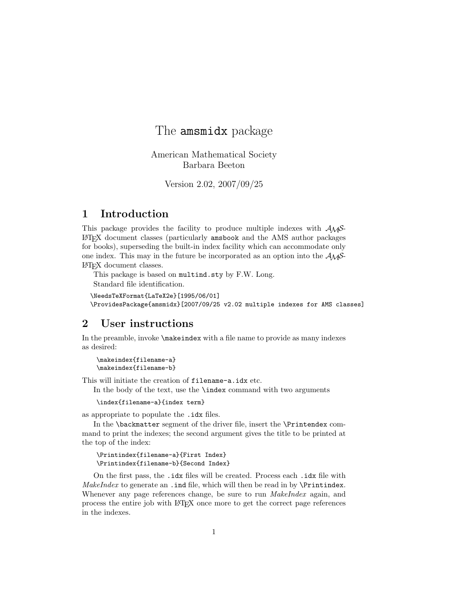# The amsmidx package

American Mathematical Society Barbara Beeton

Version 2.02, 2007/09/25

## 1 Introduction

This package provides the facility to produce multiple indexes with  $A_{\mathcal{M}}\mathcal{S}$ -LATEX document classes (particularly amsbook and the AMS author packages for books), superseding the built-in index facility which can accommodate only one index. This may in the future be incorporated as an option into the  $A_{\mathcal{M}}S$ -LATEX document classes.

This package is based on multind.sty by F.W. Long. Standard file identification.

```
\NeedsTeXFormat{LaTeX2e}[1995/06/01]
\ProvidesPackage{amsmidx}[2007/09/25 v2.02 multiple indexes for AMS classes]
```
#### 2 User instructions

In the preamble, invoke  $\mathcal{L}$  indexes with a file name to provide as many indexes as desired:

\makeindex{filename-a} \makeindex{filename-b}

This will initiate the creation of filename-a.idx etc.

In the body of the text, use the **\index** command with two arguments

\index{filename-a}{index term}

as appropriate to populate the .idx files.

In the \backmatter segment of the driver file, insert the \Printendex command to print the indexes; the second argument gives the title to be printed at the top of the index:

```
\Printindex{filename-a}{First Index}
\Printindex{filename-b}{Second Index}
```
On the first pass, the .idx files will be created. Process each .idx file with MakeIndex to generate an . ind file, which will then be read in by  $\Pr$ intindex. Whenever any page references change, be sure to run *MakeIndex* again, and process the entire job with LATEX once more to get the correct page references in the indexes.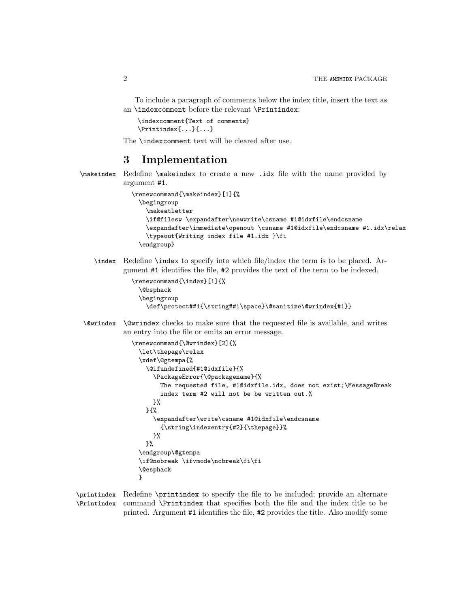To include a paragraph of comments below the index title, insert the text as an \indexcomment before the relevant \Printindex:

\indexcomment{Text of comments} \Printindex{...}{...}

The \indexcomment text will be cleared after use.

### 3 Implementation

\makeindex Redefine \makeindex to create a new .idx file with the name provided by argument #1.

```
\renewcommand{\makeindex}[1]{%
 \begingroup
    \makeatletter
    \if@filesw \expandafter\newwrite\csname #1@idxfile\endcsname
    \expandafter\immediate\openout \csname #1@idxfile\endcsname #1.idx\relax
    \typeout{Writing index file #1.idx }\fi
 \endgroup}
```
\index Redefine \index to specify into which file/index the term is to be placed. Argument #1 identifies the file, #2 provides the text of the term to be indexed.

```
\renewcommand{\index}[1]{%
 \@bsphack
 \begingroup
    \def\protect##1{\string##1\space}\@sanitize\@wrindex{#1}}
```
\@wrindex \@wrindex checks to make sure that the requested file is available, and writes an entry into the file or emits an error message.

```
\renewcommand{\@wrindex}[2]{%
  \let\thepage\relax
 \xdef\@gtempa{%
    \@ifundefined{#1@idxfile}{%
      \PackageError{\@packagename}{%
       The requested file, #1@idxfile.idx, does not exist;\MessageBreak
       index term #2 will not be be written out.%
     }%
   }{%
      \expandafter\write\csname #1@idxfile\endcsname
        {\string\indexentry{#2}{\thepage}}%
     }%
   }%
  \endgroup\@gtempa
  \if@nobreak \ifvmode\nobreak\fi\fi
  \@esphack
 }
```
\printindex Redefine \printindex to specify the file to be included; provide an alternate \Printindex command \Printindex that specifies both the file and the index title to be printed. Argument #1 identifies the file, #2 provides the title. Also modify some